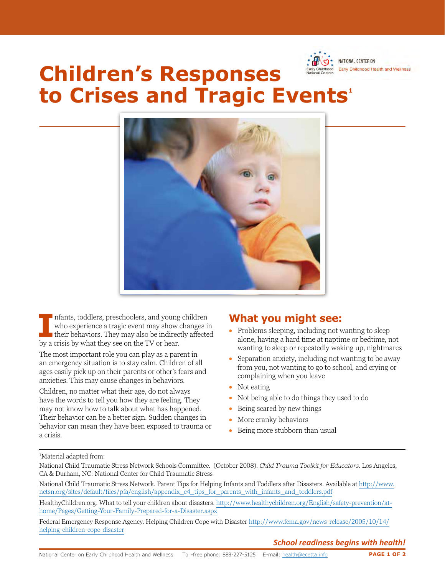

# **Children's Responses to Crises and Tragic Events<sup>1</sup>**



II Infants, toddlers, preschoolers, and young<br>
who experience a tragic event may show of<br>
their behaviors. They may also be indirect<br>
by a crisis by what they see on the TV or hear. nfants, toddlers, preschoolers, and young children who experience a tragic event may show changes in their behaviors. They may also be indirectly affected

The most important role you can play as a parent in an emergency situation is to stay calm. Children of all ages easily pick up on their parents or other's fears and anxieties. This may cause changes in behaviors.

Children, no matter what their age, do not always have the words to tell you how they are feeling. They may not know how to talk about what has happened. Their behavior can be a better sign. Sudden changes in behavior can mean they have been exposed to trauma or a crisis.

## **What you might see:**

- Problems sleeping, including not wanting to sleep alone, having a hard time at naptime or bedtime, not wanting to sleep or repeatedly waking up, nightmares
- Separation anxiety, including not wanting to be away from you, not wanting to go to school, and crying or complaining when you leave
- Not eating
- Not being able to do things they used to do
- Being scared by new things
- More cranky behaviors
- Being more stubborn than usual

1 Material adapted from:

National Child Traumatic Stress Network Schools Committee. (October 2008). *Child Trauma Toolkit for Educators.* Los Angeles, CA & Durham, NC: National Center for Child Traumatic Stress

National Child Traumatic Stress Network. Parent Tips for Helping Infants and Toddlers after Disasters. Available at [http://www.](http://www.nctsn.org/sites/default/files/pfa/english/appendix_e4_tips_for_parents_with_infants_and_toddlers.pdf) [nctsn.org/sites/default/files/pfa/english/appendix\\_e4\\_tips\\_for\\_parents\\_with\\_infants\\_and\\_toddlers.pdf](http://www.nctsn.org/sites/default/files/pfa/english/appendix_e4_tips_for_parents_with_infants_and_toddlers.pdf)

[HealthyChildren.org](http://www.HealthyChildren.org). What to tell your children about disasters. [http://www.healthychildren.org/English/safety-prevention/at](http://www.healthychildren.org/English/safety-prevention/at-home/Pages/Getting-Your-Family-Prepared-for-a-Disaster.aspx)[home/Pages/Getting-Your-Family-Prepared-for-a-Disaster.aspx](http://www.healthychildren.org/English/safety-prevention/at-home/Pages/Getting-Your-Family-Prepared-for-a-Disaster.aspx) 

Federal Emergency Response Agency. Helping Children Cope with Disaster [http://www.fema.gov/news-release/2005/10/14/](http://www.fema.gov/news-release/2005/10/14/helping-children-cope-disaster) [helping-children-cope-disaster](http://www.fema.gov/news-release/2005/10/14/helping-children-cope-disaster) 

### *School readiness begins with health!*